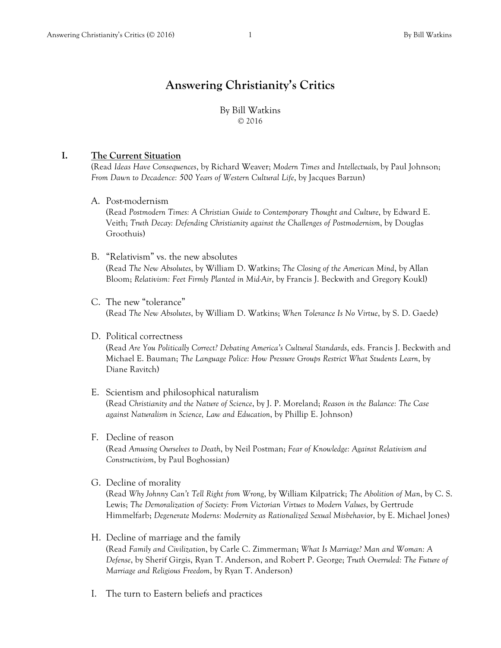# **Answering Christianity's Critics**

By Bill Watkins © 2016

### **I. The Current Situation**

(Read *Ideas Have Consequences*, by Richard Weaver; *Modern Times* and *Intellectuals*, by Paul Johnson; *From Dawn to Decadence: 500 Years of Western Cultural Life*, by Jacques Barzun)

A. Post-modernism

(Read *Postmodern Times: A Christian Guide to Contemporary Thought and Culture*, by Edward E. Veith; *Truth Decay: Defending Christianity against the Challenges of Postmodernism*, by Douglas Groothuis)

- B. "Relativism" vs. the new absolutes (Read *The New Absolutes*, by William D. Watkins; *The Closing of the American Mind*, by Allan Bloom; *Relativism: Feet Firmly Planted in Mid-Air*, by Francis J. Beckwith and Gregory Koukl)
- C. The new "tolerance" (Read *The New Absolutes*, by William D. Watkins; *When Tolerance Is No Virtue*, by S. D. Gaede)
- D. Political correctness

(Read *Are You Politically Correct? Debating America's Cultural Standards*, eds. Francis J. Beckwith and Michael E. Bauman; *The Language Police: How Pressure Groups Restrict What Students Learn*, by Diane Ravitch)

- E. Scientism and philosophical naturalism (Read *Christianity and the Nature of Science*, by J. P. Moreland; *Reason in the Balance: The Case against Naturalism in Science, Law and Education*, by Phillip E. Johnson)
- F. Decline of reason

(Read *Amusing Ourselves to Death*, by Neil Postman; *Fear of Knowledge: Against Relativism and Constructivism*, by Paul Boghossian)

G. Decline of morality

(Read *Why Johnny Can't Tell Right from Wrong*, by William Kilpatrick; *The Abolition of Man*, by C. S. Lewis; *The Demoralization of Society: From Victorian Virtues to Modern Values*, by Gertrude Himmelfarb; *Degenerate Moderns: Modernity as Rationalized Sexual Misbehavior*, by E. Michael Jones)

- H. Decline of marriage and the family (Read *Family and Civilization*, by Carle C. Zimmerman; *What Is Marriage? Man and Woman: A Defense*, by Sherif Girgis, Ryan T. Anderson, and Robert P. George; *Truth Overruled: The Future of Marriage and Religious Freedom*, by Ryan T. Anderson)
- I. The turn to Eastern beliefs and practices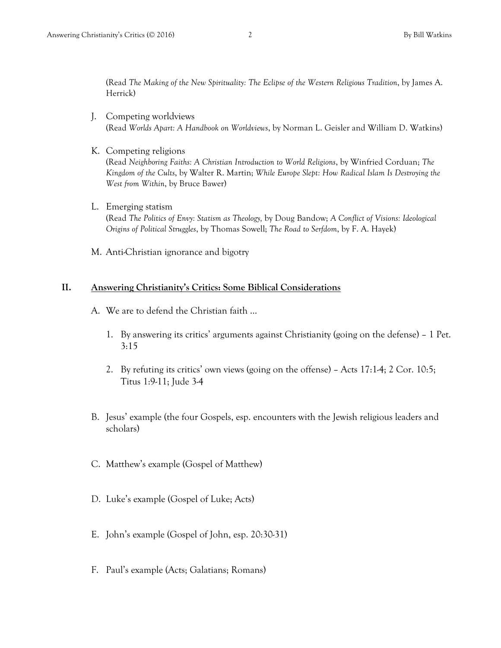(Read *The Making of the New Spirituality: The Eclipse of the Western Religious Tradition*, by James A. Herrick)

- J. Competing worldviews (Read *Worlds Apart: A Handbook on Worldviews*, by Norman L. Geisler and William D. Watkins)
- K. Competing religions (Read *Neighboring Faiths: A Christian Introduction to World Religions*, by Winfried Corduan; *The Kingdom of the Cults*, by Walter R. Martin; *While Europe Slept: How Radical Islam Is Destroying the West from Within*, by Bruce Bawer)
- L. Emerging statism (Read *The Politics of Envy: Statism as Theology,* by Doug Bandow; *A Conflict of Visions: Ideological Origins of Political Struggles*, by Thomas Sowell; *The Road to Serfdom*, by F. A. Hayek)
- M. Anti-Christian ignorance and bigotry

#### **II. Answering Christianity's Critics: Some Biblical Considerations**

- A. We are to defend the Christian faith …
	- 1. By answering its critics' arguments against Christianity (going on the defense) 1 Pet. 3:15
	- 2. By refuting its critics' own views (going on the offense) Acts 17:1-4; 2 Cor. 10:5; Titus 1:9-11; Jude 3-4
- B. Jesus' example (the four Gospels, esp. encounters with the Jewish religious leaders and scholars)
- C. Matthew's example (Gospel of Matthew)
- D. Luke's example (Gospel of Luke; Acts)
- E. John's example (Gospel of John, esp. 20:30-31)
- F. Paul's example (Acts; Galatians; Romans)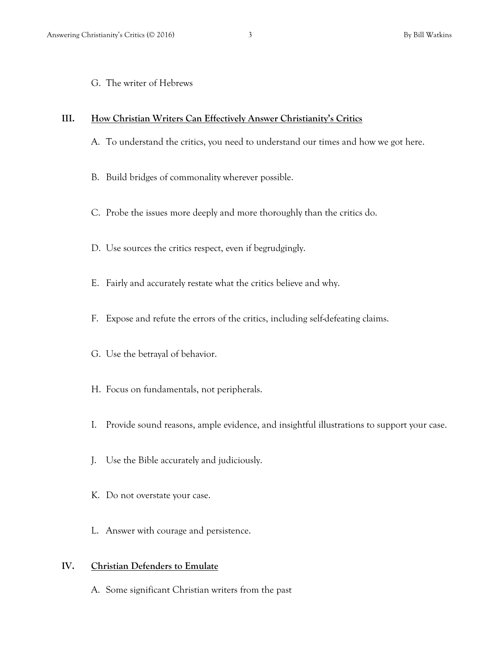G. The writer of Hebrews

## **III. How Christian Writers Can Effectively Answer Christianity's Critics**

- A. To understand the critics, you need to understand our times and how we got here.
- B. Build bridges of commonality wherever possible.
- C. Probe the issues more deeply and more thoroughly than the critics do.
- D. Use sources the critics respect, even if begrudgingly.
- E. Fairly and accurately restate what the critics believe and why.
- F. Expose and refute the errors of the critics, including self-defeating claims.
- G. Use the betrayal of behavior.
- H. Focus on fundamentals, not peripherals.
- I. Provide sound reasons, ample evidence, and insightful illustrations to support your case.
- J. Use the Bible accurately and judiciously.
- K. Do not overstate your case.
- L. Answer with courage and persistence.

## **IV. Christian Defenders to Emulate**

A. Some significant Christian writers from the past